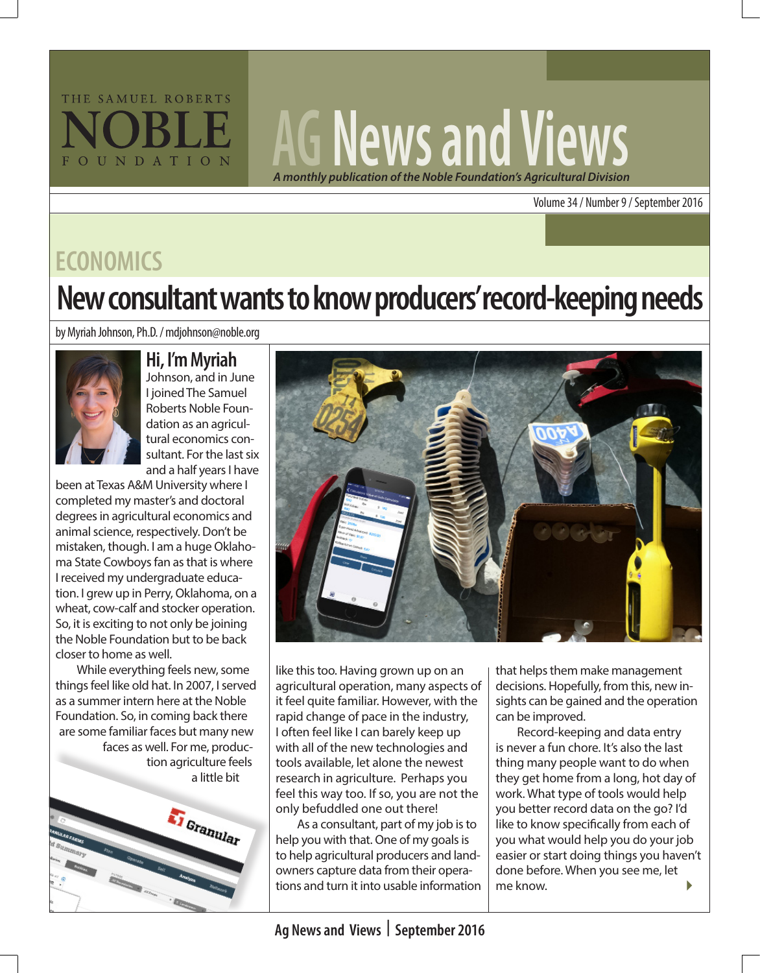

# **AG News and Views** *A monthly publication of the Noble Foundation's Agricultural Division*

Volume 34 / Number 9 / September 2016

### **ECONOMICS**

## **New consultant wants to know producers' record-keeping needs**

by Myriah Johnson, Ph.D. / mdjohnson@noble.org



#### **Hi, I'm Myriah**

Johnson, and in June I joined The Samuel Roberts Noble Foundation as an agricultural economics consultant. For the last six and a half years I have

been at Texas A&M University where I completed my master's and doctoral degrees in agricultural economics and animal science, respectively. Don't be mistaken, though. I am a huge Oklahoma State Cowboys fan as that is where I received my undergraduate education. I grew up in Perry, Oklahoma, on a wheat, cow-calf and stocker operation. So, it is exciting to not only be joining the Noble Foundation but to be back closer to home as well.

While everything feels new, some things feel like old hat. In 2007, I served as a summer intern here at the Noble Foundation. So, in coming back there are some familiar faces but many new faces as well. For me, production agriculture feels a little bit





like this too. Having grown up on an agricultural operation, many aspects of it feel quite familiar. However, with the rapid change of pace in the industry, I often feel like I can barely keep up with all of the new technologies and tools available, let alone the newest research in agriculture. Perhaps you feel this way too. If so, you are not the only befuddled one out there!

As a consultant, part of my job is to help you with that. One of my goals is to help agricultural producers and landowners capture data from their operations and turn it into usable information that helps them make management decisions. Hopefully, from this, new insights can be gained and the operation can be improved.

 $\blacktriangleright$ Record-keeping and data entry is never a fun chore. It's also the last thing many people want to do when they get home from a long, hot day of work. What type of tools would help you better record data on the go? I'd like to know specifically from each of you what would help you do your job easier or start doing things you haven't done before. When you see me, let me know.